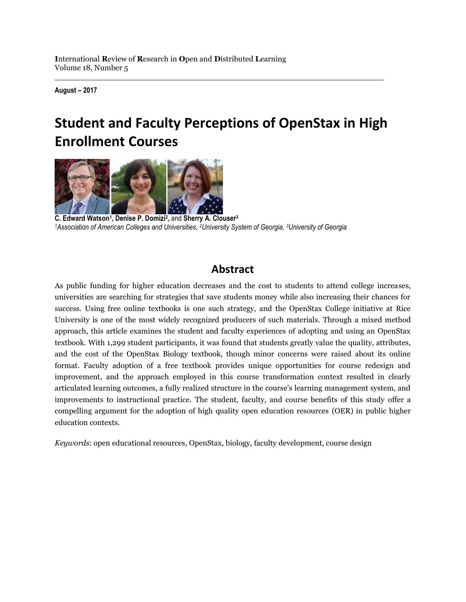**August – 2017**

# **Student and Faculty Perceptions of OpenStax in High Enrollment Courses**



**C. Edward Watson<sup>1</sup> , Denise P. Domizi<sup>2</sup> ,** and **Sherry A. Clouser<sup>3</sup>** <sup>1</sup>Association of American Colleges and Universities, <sup>2</sup>University System of Georgia, <sup>3</sup>University of Georgia

# **Abstract**

As public funding for higher education decreases and the cost to students to attend college increases, universities are searching for strategies that save students money while also increasing their chances for success. Using free online textbooks is one such strategy, and the OpenStax College initiative at Rice University is one of the most widely recognized producers of such materials. Through a mixed method approach, this article examines the student and faculty experiences of adopting and using an OpenStax textbook. With 1,299 student participants, it was found that students greatly value the quality, attributes, and the cost of the OpenStax Biology textbook, though minor concerns were raised about its online format. Faculty adoption of a free textbook provides unique opportunities for course redesign and improvement, and the approach employed in this course transformation context resulted in clearly articulated learning outcomes, a fully realized structure in the course's learning management system, and improvements to instructional practice. The student, faculty, and course benefits of this study offer a compelling argument for the adoption of high quality open education resources (OER) in public higher education contexts.

*Keywords*: open educational resources, OpenStax, biology, faculty development, course design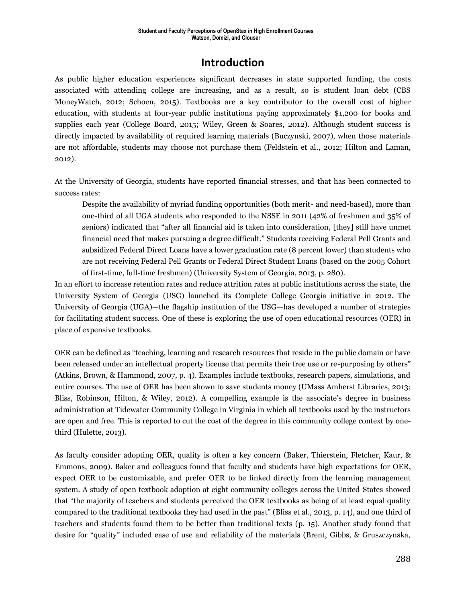# **Introduction**

As public higher education experiences significant decreases in state supported funding, the costs associated with attending college are increasing, and as a result, so is student loan debt (CBS MoneyWatch, 2012; Schoen, 2015). Textbooks are a key contributor to the overall cost of higher education, with students at four-year public institutions paying approximately \$1,200 for books and supplies each year (College Board, 2015; Wiley, Green & Soares, 2012). Although student success is directly impacted by availability of required learning materials (Buczynski, 2007), when those materials are not affordable, students may choose not purchase them (Feldstein et al., 2012; Hilton and Laman, 2012).

At the University of Georgia, students have reported financial stresses, and that has been connected to success rates:

Despite the availability of myriad funding opportunities (both merit- and need-based), more than one-third of all UGA students who responded to the NSSE in 2011 (42% of freshmen and 35% of seniors) indicated that "after all financial aid is taken into consideration, [they] still have unmet financial need that makes pursuing a degree difficult." Students receiving Federal Pell Grants and subsidized Federal Direct Loans have a lower graduation rate (8 percent lower) than students who are not receiving Federal Pell Grants or Federal Direct Student Loans (based on the 2005 Cohort of first-time, full-time freshmen) (University System of Georgia, 2013, p. 280).

In an effort to increase retention rates and reduce attrition rates at public institutions across the state, the University System of Georgia (USG) launched its Complete College Georgia initiative in 2012. The University of Georgia (UGA)—the flagship institution of the USG—has developed a number of strategies for facilitating student success. One of these is exploring the use of open educational resources (OER) in place of expensive textbooks.

OER can be defined as "teaching, learning and research resources that reside in the public domain or have been released under an intellectual property license that permits their free use or re-purposing by others" (Atkins, Brown, & Hammond, 2007, p. 4). Examples include textbooks, research papers, simulations, and entire courses. The use of OER has been shown to save students money (UMass Amherst Libraries, 2013; Bliss, Robinson, Hilton, & Wiley, 2012). A compelling example is the associate's degree in business administration at Tidewater Community College in Virginia in which all textbooks used by the instructors are open and free. This is reported to cut the cost of the degree in this community college context by onethird (Hulette, 2013).

As faculty consider adopting OER, quality is often a key concern (Baker, Thierstein, Fletcher, Kaur, & Emmons, 2009). Baker and colleagues found that faculty and students have high expectations for OER, expect OER to be customizable, and prefer OER to be linked directly from the learning management system. A study of open textbook adoption at eight community colleges across the United States showed that "the majority of teachers and students perceived the OER textbooks as being of at least equal quality compared to the traditional textbooks they had used in the past" (Bliss et al., 2013, p. 14), and one third of teachers and students found them to be better than traditional texts (p. 15). Another study found that desire for "quality" included ease of use and reliability of the materials (Brent, Gibbs, & Gruszczynska,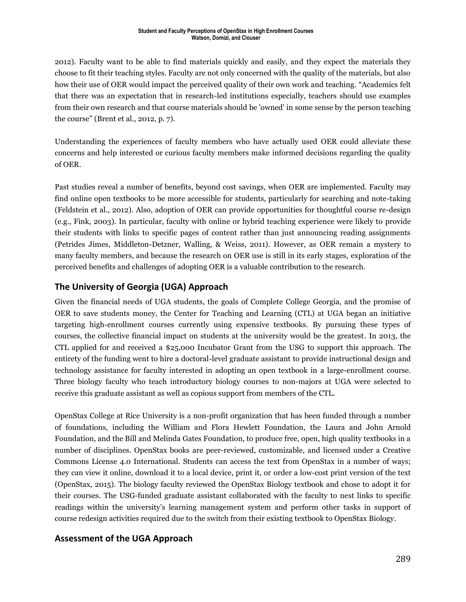#### **Student and Faculty Perceptions of OpenStax in High Enrollment Courses Watson, Domizi, and Clouser**

2012). Faculty want to be able to find materials quickly and easily, and they expect the materials they choose to fit their teaching styles. Faculty are not only concerned with the quality of the materials, but also how their use of OER would impact the perceived quality of their own work and teaching. "Academics felt that there was an expectation that in research-led institutions especially, teachers should use examples from their own research and that course materials should be 'owned' in some sense by the person teaching the course" (Brent et al., 2012, p. 7).

Understanding the experiences of faculty members who have actually used OER could alleviate these concerns and help interested or curious faculty members make informed decisions regarding the quality of OER.

Past studies reveal a number of benefits, beyond cost savings, when OER are implemented. Faculty may find online open textbooks to be more accessible for students, particularly for searching and note-taking (Feldstein et al., 2012). Also, adoption of OER can provide opportunities for thoughtful course re-design (e.g., Fink, 2003). In particular, faculty with online or hybrid teaching experience were likely to provide their students with links to specific pages of content rather than just announcing reading assignments (Petrides Jimes, Middleton-Detzner, Walling, & Weiss, 2011). However, as OER remain a mystery to many faculty members, and because the research on OER use is still in its early stages, exploration of the perceived benefits and challenges of adopting OER is a valuable contribution to the research.

### **The University of Georgia (UGA) Approach**

Given the financial needs of UGA students, the goals of Complete College Georgia, and the promise of OER to save students money, the Center for Teaching and Learning (CTL) at UGA began an initiative targeting high-enrollment courses currently using expensive textbooks. By pursuing these types of courses, the collective financial impact on students at the university would be the greatest. In 2013, the CTL applied for and received a \$25,000 Incubator Grant from the USG to support this approach. The entirety of the funding went to hire a doctoral-level graduate assistant to provide instructional design and technology assistance for faculty interested in adopting an open textbook in a large-enrollment course. Three biology faculty who teach introductory biology courses to non-majors at UGA were selected to receive this graduate assistant as well as copious support from members of the CTL.

OpenStax College at Rice University is a non-profit organization that has been funded through a number of foundations, including the William and Flora Hewlett Foundation, the Laura and John Arnold Foundation, and the Bill and Melinda Gates Foundation, to produce free, open, high quality textbooks in a number of disciplines. OpenStax books are peer-reviewed, customizable, and licensed under a Creative Commons License 4.0 International. Students can access the text from OpenStax in a number of ways; they can view it online, download it to a local device, print it, or order a low-cost print version of the text (OpenStax, 2015). The biology faculty reviewed the OpenStax Biology textbook and chose to adopt it for their courses. The USG-funded graduate assistant collaborated with the faculty to nest links to specific readings within the university's learning management system and perform other tasks in support of course redesign activities required due to the switch from their existing textbook to OpenStax Biology.

### **Assessment of the UGA Approach**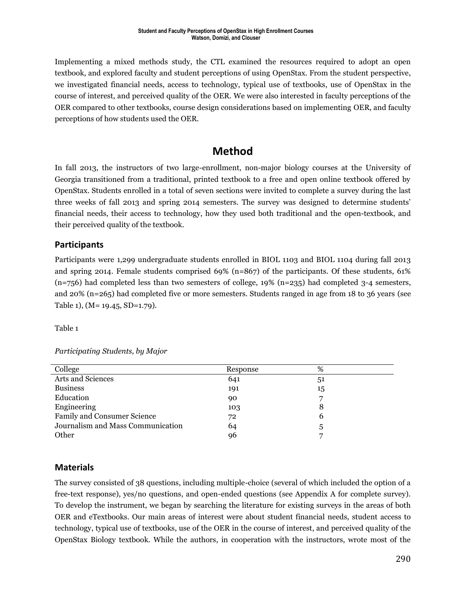Implementing a mixed methods study, the CTL examined the resources required to adopt an open textbook, and explored faculty and student perceptions of using OpenStax. From the student perspective, we investigated financial needs, access to technology, typical use of textbooks, use of OpenStax in the course of interest, and perceived quality of the OER. We were also interested in faculty perceptions of the OER compared to other textbooks, course design considerations based on implementing OER, and faculty perceptions of how students used the OER.

# **Method**

In fall 2013, the instructors of two large-enrollment, non-major biology courses at the University of Georgia transitioned from a traditional, printed textbook to a free and open online textbook offered by OpenStax. Students enrolled in a total of seven sections were invited to complete a survey during the last three weeks of fall 2013 and spring 2014 semesters. The survey was designed to determine students' financial needs, their access to technology, how they used both traditional and the open-textbook, and their perceived quality of the textbook.

### **Participants**

Participants were 1,299 undergraduate students enrolled in BIOL 1103 and BIOL 1104 during fall 2013 and spring 2014. Female students comprised 69% (n=867) of the participants. Of these students, 61%  $(n=756)$  had completed less than two semesters of college, 19%  $(n=235)$  had completed 3-4 semesters, and 20% (n=265) had completed five or more semesters. Students ranged in age from 18 to 36 years (see Table 1), (M= 19.45, SD=1.79).

Table 1

#### *Participating Students, by Major*

| College                            | Response | %  |  |
|------------------------------------|----------|----|--|
| Arts and Sciences                  | 641      | 51 |  |
| <b>Business</b>                    | 191      | 15 |  |
| Education                          | 90       |    |  |
| Engineering                        | 103      | 8  |  |
| <b>Family and Consumer Science</b> | 72       | b  |  |
| Journalism and Mass Communication  | 64       | 5  |  |
| Other                              | 96       |    |  |
|                                    |          |    |  |

### **Materials**

The survey consisted of 38 questions, including multiple-choice (several of which included the option of a free-text response), yes/no questions, and open-ended questions (see Appendix A for complete survey). To develop the instrument, we began by searching the literature for existing surveys in the areas of both OER and eTextbooks. Our main areas of interest were about student financial needs, student access to technology, typical use of textbooks, use of the OER in the course of interest, and perceived quality of the OpenStax Biology textbook. While the authors, in cooperation with the instructors, wrote most of the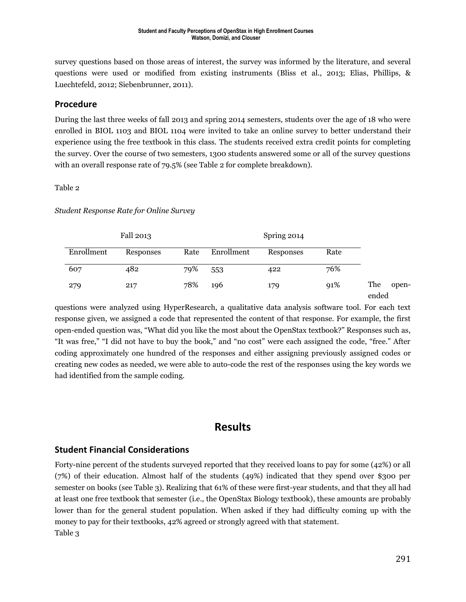survey questions based on those areas of interest, the survey was informed by the literature, and several questions were used or modified from existing instruments (Bliss et al., 2013; Elias, Phillips, & Luechtefeld, 2012; Siebenbrunner, 2011).

### **Procedure**

During the last three weeks of fall 2013 and spring 2014 semesters, students over the age of 18 who were enrolled in BIOL 1103 and BIOL 1104 were invited to take an online survey to better understand their experience using the free textbook in this class. The students received extra credit points for completing the survey. Over the course of two semesters, 1300 students answered some or all of the survey questions with an overall response rate of 79.5% (see Table 2 for complete breakdown).

#### Table 2

*Student Response Rate for Online Survey*

|            | Fall 2013 |      |            | Spring 2014 |      |              |       |
|------------|-----------|------|------------|-------------|------|--------------|-------|
| Enrollment | Responses | Rate | Enrollment | Responses   | Rate |              |       |
| 607        | 482       | 79%  | 553        | 422         | 76%  |              |       |
| 279        | 217       | 78%  | 196        | 179         | 91%  | The<br>ended | open- |

questions were analyzed using HyperResearch, a qualitative data analysis software tool. For each text response given, we assigned a code that represented the content of that response. For example, the first open-ended question was, "What did you like the most about the OpenStax textbook?" Responses such as, "It was free," "I did not have to buy the book," and "no cost" were each assigned the code, "free." After coding approximately one hundred of the responses and either assigning previously assigned codes or creating new codes as needed, we were able to auto-code the rest of the responses using the key words we had identified from the sample coding.

# **Results**

### **Student Financial Considerations**

Forty-nine percent of the students surveyed reported that they received loans to pay for some (42%) or all (7%) of their education. Almost half of the students (49%) indicated that they spend over \$300 per semester on books (see Table 3). Realizing that 61% of these were first-year students, and that they all had at least one free textbook that semester (i.e., the OpenStax Biology textbook), these amounts are probably lower than for the general student population. When asked if they had difficulty coming up with the money to pay for their textbooks, 42% agreed or strongly agreed with that statement. Table 3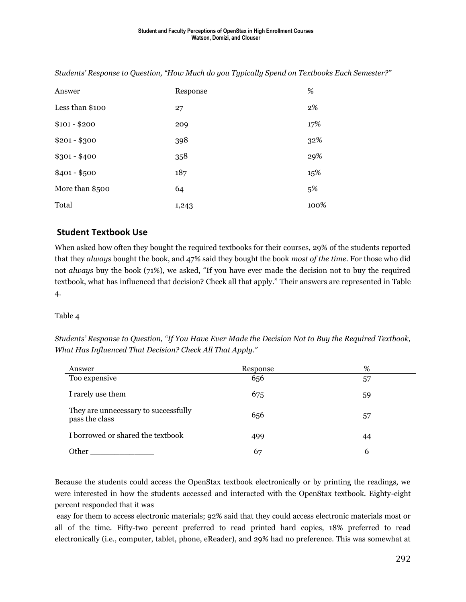| Answer          | Response | $\%$ |
|-----------------|----------|------|
| Less than \$100 | 27       | 2%   |
| $$101 - $200$   | 209      | 17%  |
| $$201 - $300$   | 398      | 32%  |
| $$301 - $400$   | 358      | 29%  |
| $$401 - $500$   | 187      | 15%  |
| More than \$500 | 64       | 5%   |
| Total           | 1,243    | 100% |

*Students' Response to Question, "How Much do you Typically Spend on Textbooks Each Semester?"*

### **Student Textbook Use**

When asked how often they bought the required textbooks for their courses, 29% of the students reported that they *always* bought the book, and 47% said they bought the book *most of the time*. For those who did not *always* buy the book (71%), we asked, "If you have ever made the decision not to buy the required textbook, what has influenced that decision? Check all that apply." Their answers are represented in Table 4.

### Table 4

*Students' Response to Question, "If You Have Ever Made the Decision Not to Buy the Required Textbook, What Has Influenced That Decision? Check All That Apply."*

| Answer                                                 | Response | %  |
|--------------------------------------------------------|----------|----|
| Too expensive                                          | 656      | 57 |
| I rarely use them                                      | 675      | 59 |
| They are unnecessary to successfully<br>pass the class | 656      | 57 |
| I borrowed or shared the textbook                      | 499      | 44 |
| Other                                                  | 67       | 6  |

Because the students could access the OpenStax textbook electronically or by printing the readings, we were interested in how the students accessed and interacted with the OpenStax textbook. Eighty-eight percent responded that it was

easy for them to access electronic materials; 92% said that they could access electronic materials most or all of the time. Fifty-two percent preferred to read printed hard copies, 18% preferred to read electronically (i.e., computer, tablet, phone, eReader), and 29% had no preference. This was somewhat at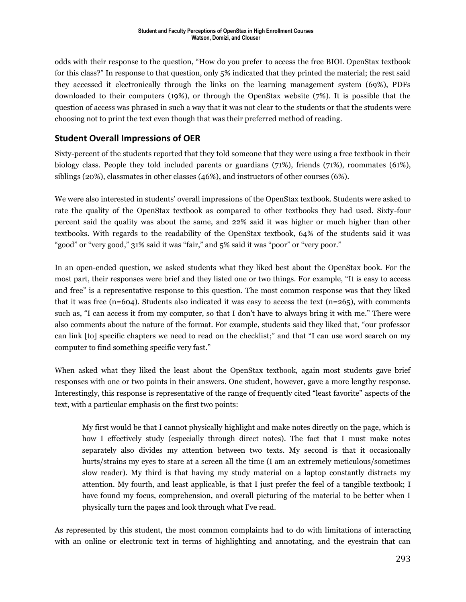odds with their response to the question, "How do you prefer to access the free BIOL OpenStax textbook for this class?" In response to that question, only 5% indicated that they printed the material; the rest said they accessed it electronically through the links on the learning management system (69%), PDFs downloaded to their computers (19%), or through the OpenStax website (7%). It is possible that the question of access was phrased in such a way that it was not clear to the students or that the students were choosing not to print the text even though that was their preferred method of reading.

### **Student Overall Impressions of OER**

Sixty-percent of the students reported that they told someone that they were using a free textbook in their biology class. People they told included parents or guardians (71%), friends (71%), roommates (61%), siblings (20%), classmates in other classes (46%), and instructors of other courses (6%).

We were also interested in students' overall impressions of the OpenStax textbook. Students were asked to rate the quality of the OpenStax textbook as compared to other textbooks they had used. Sixty-four percent said the quality was about the same, and 22% said it was higher or much higher than other textbooks. With regards to the readability of the OpenStax textbook, 64% of the students said it was "good" or "very good," 31% said it was "fair," and 5% said it was "poor" or "very poor."

In an open-ended question, we asked students what they liked best about the OpenStax book. For the most part, their responses were brief and they listed one or two things. For example, "It is easy to access and free" is a representative response to this question. The most common response was that they liked that it was free (n=604). Students also indicated it was easy to access the text (n=265), with comments such as, "I can access it from my computer, so that I don't have to always bring it with me." There were also comments about the nature of the format. For example, students said they liked that, "our professor can link [to] specific chapters we need to read on the checklist;" and that "I can use word search on my computer to find something specific very fast."

When asked what they liked the least about the OpenStax textbook, again most students gave brief responses with one or two points in their answers. One student, however, gave a more lengthy response. Interestingly, this response is representative of the range of frequently cited "least favorite" aspects of the text, with a particular emphasis on the first two points:

My first would be that I cannot physically highlight and make notes directly on the page, which is how I effectively study (especially through direct notes). The fact that I must make notes separately also divides my attention between two texts. My second is that it occasionally hurts/strains my eyes to stare at a screen all the time (I am an extremely meticulous/sometimes slow reader). My third is that having my study material on a laptop constantly distracts my attention. My fourth, and least applicable, is that I just prefer the feel of a tangible textbook; I have found my focus, comprehension, and overall picturing of the material to be better when I physically turn the pages and look through what I've read.

As represented by this student, the most common complaints had to do with limitations of interacting with an online or electronic text in terms of highlighting and annotating, and the eyestrain that can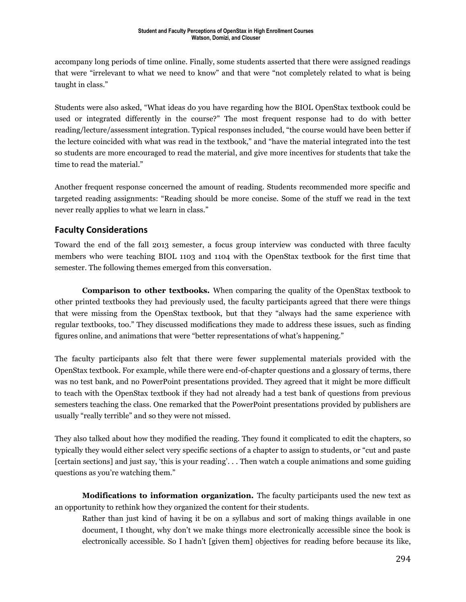accompany long periods of time online. Finally, some students asserted that there were assigned readings that were "irrelevant to what we need to know" and that were "not completely related to what is being taught in class."

Students were also asked, "What ideas do you have regarding how the BIOL OpenStax textbook could be used or integrated differently in the course?" The most frequent response had to do with better reading/lecture/assessment integration. Typical responses included, "the course would have been better if the lecture coincided with what was read in the textbook," and "have the material integrated into the test so students are more encouraged to read the material, and give more incentives for students that take the time to read the material."

Another frequent response concerned the amount of reading. Students recommended more specific and targeted reading assignments: "Reading should be more concise. Some of the stuff we read in the text never really applies to what we learn in class."

### **Faculty Considerations**

Toward the end of the fall 2013 semester, a focus group interview was conducted with three faculty members who were teaching BIOL 1103 and 1104 with the OpenStax textbook for the first time that semester. The following themes emerged from this conversation.

**Comparison to other textbooks.** When comparing the quality of the OpenStax textbook to other printed textbooks they had previously used, the faculty participants agreed that there were things that were missing from the OpenStax textbook, but that they "always had the same experience with regular textbooks, too." They discussed modifications they made to address these issues, such as finding figures online, and animations that were "better representations of what's happening."

The faculty participants also felt that there were fewer supplemental materials provided with the OpenStax textbook. For example, while there were end-of-chapter questions and a glossary of terms, there was no test bank, and no PowerPoint presentations provided. They agreed that it might be more difficult to teach with the OpenStax textbook if they had not already had a test bank of questions from previous semesters teaching the class. One remarked that the PowerPoint presentations provided by publishers are usually "really terrible" and so they were not missed.

They also talked about how they modified the reading. They found it complicated to edit the chapters, so typically they would either select very specific sections of a chapter to assign to students, or "cut and paste [certain sections] and just say, 'this is your reading'. . . Then watch a couple animations and some guiding questions as you're watching them."

**Modifications to information organization.** The faculty participants used the new text as an opportunity to rethink how they organized the content for their students.

Rather than just kind of having it be on a syllabus and sort of making things available in one document, I thought, why don't we make things more electronically accessible since the book is electronically accessible. So I hadn't [given them] objectives for reading before because its like,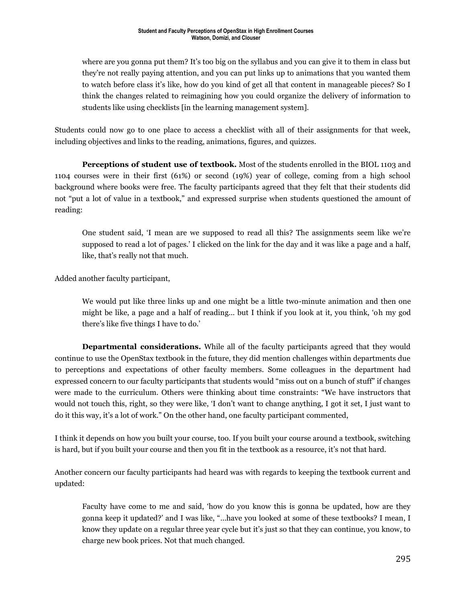where are you gonna put them? It's too big on the syllabus and you can give it to them in class but they're not really paying attention, and you can put links up to animations that you wanted them to watch before class it's like, how do you kind of get all that content in manageable pieces? So I think the changes related to reimagining how you could organize the delivery of information to students like using checklists [in the learning management system].

Students could now go to one place to access a checklist with all of their assignments for that week, including objectives and links to the reading, animations, figures, and quizzes.

**Perceptions of student use of textbook.** Most of the students enrolled in the BIOL 1103 and 1104 courses were in their first (61%) or second (19%) year of college, coming from a high school background where books were free. The faculty participants agreed that they felt that their students did not "put a lot of value in a textbook," and expressed surprise when students questioned the amount of reading:

One student said, 'I mean are we supposed to read all this? The assignments seem like we're supposed to read a lot of pages.' I clicked on the link for the day and it was like a page and a half, like, that's really not that much.

Added another faculty participant,

We would put like three links up and one might be a little two-minute animation and then one might be like, a page and a half of reading… but I think if you look at it, you think, 'oh my god there's like five things I have to do.'

**Departmental considerations.** While all of the faculty participants agreed that they would continue to use the OpenStax textbook in the future, they did mention challenges within departments due to perceptions and expectations of other faculty members. Some colleagues in the department had expressed concern to our faculty participants that students would "miss out on a bunch of stuff" if changes were made to the curriculum. Others were thinking about time constraints: "We have instructors that would not touch this, right, so they were like, 'I don't want to change anything, I got it set, I just want to do it this way, it's a lot of work." On the other hand, one faculty participant commented,

I think it depends on how you built your course, too. If you built your course around a textbook, switching is hard, but if you built your course and then you fit in the textbook as a resource, it's not that hard.

Another concern our faculty participants had heard was with regards to keeping the textbook current and updated:

Faculty have come to me and said, 'how do you know this is gonna be updated, how are they gonna keep it updated?' and I was like, "…have you looked at some of these textbooks? I mean, I know they update on a regular three year cycle but it's just so that they can continue, you know, to charge new book prices. Not that much changed.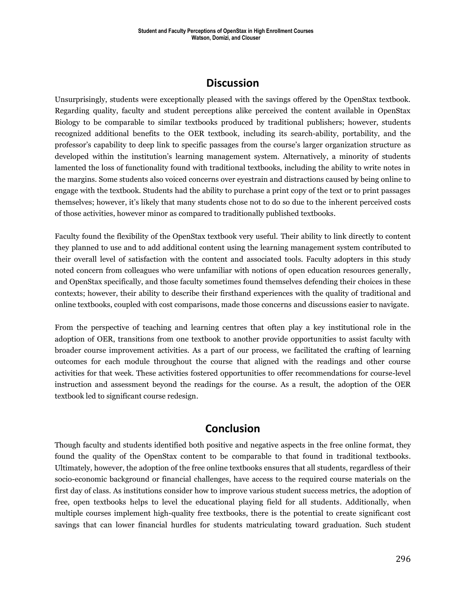# **Discussion**

Unsurprisingly, students were exceptionally pleased with the savings offered by the OpenStax textbook. Regarding quality, faculty and student perceptions alike perceived the content available in OpenStax Biology to be comparable to similar textbooks produced by traditional publishers; however, students recognized additional benefits to the OER textbook, including its search-ability, portability, and the professor's capability to deep link to specific passages from the course's larger organization structure as developed within the institution's learning management system. Alternatively, a minority of students lamented the loss of functionality found with traditional textbooks, including the ability to write notes in the margins. Some students also voiced concerns over eyestrain and distractions caused by being online to engage with the textbook. Students had the ability to purchase a print copy of the text or to print passages themselves; however, it's likely that many students chose not to do so due to the inherent perceived costs of those activities, however minor as compared to traditionally published textbooks.

Faculty found the flexibility of the OpenStax textbook very useful. Their ability to link directly to content they planned to use and to add additional content using the learning management system contributed to their overall level of satisfaction with the content and associated tools. Faculty adopters in this study noted concern from colleagues who were unfamiliar with notions of open education resources generally, and OpenStax specifically, and those faculty sometimes found themselves defending their choices in these contexts; however, their ability to describe their firsthand experiences with the quality of traditional and online textbooks, coupled with cost comparisons, made those concerns and discussions easier to navigate.

From the perspective of teaching and learning centres that often play a key institutional role in the adoption of OER, transitions from one textbook to another provide opportunities to assist faculty with broader course improvement activities. As a part of our process, we facilitated the crafting of learning outcomes for each module throughout the course that aligned with the readings and other course activities for that week. These activities fostered opportunities to offer recommendations for course-level instruction and assessment beyond the readings for the course. As a result, the adoption of the OER textbook led to significant course redesign.

## **Conclusion**

Though faculty and students identified both positive and negative aspects in the free online format, they found the quality of the OpenStax content to be comparable to that found in traditional textbooks. Ultimately, however, the adoption of the free online textbooks ensures that all students, regardless of their socio-economic background or financial challenges, have access to the required course materials on the first day of class. As institutions consider how to improve various student success metrics, the adoption of free, open textbooks helps to level the educational playing field for all students. Additionally, when multiple courses implement high-quality free textbooks, there is the potential to create significant cost savings that can lower financial hurdles for students matriculating toward graduation. Such student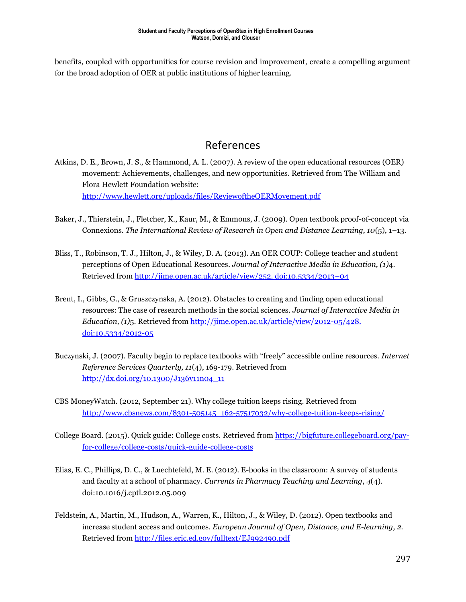benefits, coupled with opportunities for course revision and improvement, create a compelling argument for the broad adoption of OER at public institutions of higher learning.

# References

- Atkins, D. E., Brown, J. S., & Hammond, A. L. (2007). A review of the open educational resources (OER) movement: Achievements, challenges, and new opportunities. Retrieved from The William and Flora Hewlett Foundation website: <http://www.hewlett.org/uploads/files/ReviewoftheOERMovement.pdf>
- Baker, J., Thierstein, J., Fletcher, K., Kaur, M., & Emmons, J. (2009). Open textbook proof-of-concept via Connexions. *The International Review of Research in Open and Distance Learning, 10*(5), 1–13.
- Bliss, T., Robinson, T. J., Hilton, J., & Wiley, D. A. (2013). An OER COUP: College teacher and student perceptions of Open Educational Resources. *Journal of Interactive Media in Education, (1)*4. Retrieved from [http://jime.open.ac.uk/article/view/252. doi:10.5334/2013](http://jime.open.ac.uk/article/view/252.%20doi:10.5334/2013%E2%80%9304)-04
- Brent, I., Gibbs, G., & Gruszczynska, A. (2012). Obstacles to creating and finding open educational resources: The case of research methods in the social sciences. *Journal of Interactive Media in Education, (1)*5. Retrieved from http://jime.open.ac.uk/article/view/2012-05/428. [doi:10.5334/2012-05](http://jime.open.ac.uk/article/view/2012-05/428.%20doi:10.5334/2012-05)
- Buczynski, J. (2007). Faculty begin to replace textbooks with "freely" accessible online resources. *Internet Reference Services Quarterly, 11*(4), 169-179. Retrieved from [http://dx.doi.org/10.1300/J136v11n04\\_11](http://dx.doi.org/10.1300/J136v11n04_11)
- CBS MoneyWatch. (2012, September 21). Why college tuition keeps rising. Retrieved from [http://www.cbsnews.com/8301-505145\\_162-57517032/why-college-tuition-keeps-rising/](http://www.cbsnews.com/8301-505145_162-57517032/why-college-tuition-keeps-rising/)
- College Board. (2015). Quick guide: College costs. Retrieved from [https://bigfuture.collegeboard.org/pay](https://bigfuture.collegeboard.org/pay-for-college/college-costs/quick-guide-college-costs)[for-college/college-costs/quick-guide-college-costs](https://bigfuture.collegeboard.org/pay-for-college/college-costs/quick-guide-college-costs)
- Elias, E. C., Phillips, D. C., & Luechtefeld, M. E. (2012). E-books in the classroom: A survey of students and faculty at a school of pharmacy. *Currents in Pharmacy Teaching and Learning*, *4*(4). doi:10.1016/j.cptl.2012.05.009
- Feldstein, A., Martin, M., Hudson, A., Warren, K., Hilton, J., & Wiley, D. (2012). Open textbooks and increase student access and outcomes. *European Journal of Open, Distance, and E-learning, 2.* Retrieved from<http://files.eric.ed.gov/fulltext/EJ992490.pdf>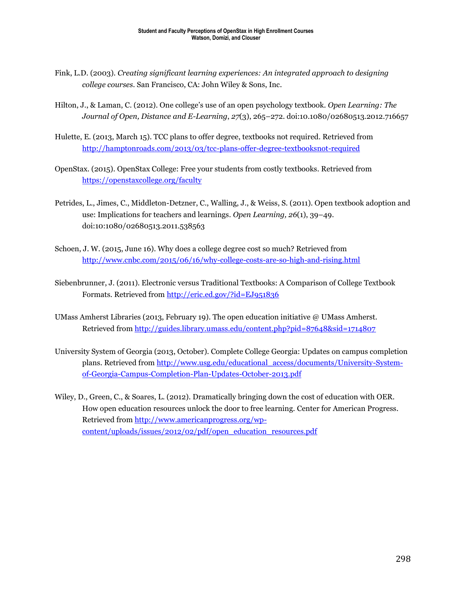- Fink, L.D. (2003). *Creating significant learning experiences: An integrated approach to designing college courses.* San Francisco, CA: John Wiley & Sons, Inc.
- Hilton, J., & Laman, C. (2012). One college's use of an open psychology textbook. *Open Learning: The Journal of Open, Distance and E-Learning*, *27*(3), 265–272. doi:10.1080/02680513.2012.716657
- Hulette, E. (2013, March 15). TCC plans to offer degree, textbooks not required. Retrieved from <http://hamptonroads.com/2013/03/tcc-plans-offer-degree-textbooksnot-required>
- OpenStax. (2015). OpenStax College: Free your students from costly textbooks. Retrieved from <https://openstaxcollege.org/faculty>
- Petrides, L., Jimes, C., Middleton-Detzner, C., Walling, J., & Weiss, S. (2011). Open textbook adoption and use: Implications for teachers and learnings. *Open Learning, 26*(1), 39–49. doi:10:1080/02680513.2011.538563
- Schoen, J. W. (2015, June 16). Why does a college degree cost so much? Retrieved from <http://www.cnbc.com/2015/06/16/why-college-costs-are-so-high-and-rising.html>
- Siebenbrunner, J. (2011). Electronic versus Traditional Textbooks: A Comparison of College Textbook Formats. Retrieved from<http://eric.ed.gov/?id=EJ951836>
- UMass Amherst Libraries (2013, February 19). The open education initiative @ UMass Amherst. Retrieved from<http://guides.library.umass.edu/content.php?pid=87648&sid=1714807>
- University System of Georgia (2013, October). Complete College Georgia: Updates on campus completion plans. Retrieved from [http://www.usg.edu/educational\\_access/documents/University-System](http://www.usg.edu/educational_access/documents/University-System-of-Georgia-Campus-Completion-Plan-Updates-October-2013.pdf)[of-Georgia-Campus-Completion-Plan-Updates-October-2013.pdf](http://www.usg.edu/educational_access/documents/University-System-of-Georgia-Campus-Completion-Plan-Updates-October-2013.pdf)
- Wiley, D., Green, C., & Soares, L. (2012). Dramatically bringing down the cost of education with OER. How open education resources unlock the door to free learning. Center for American Progress. Retrieved from [http://www.americanprogress.org/wp](http://www.americanprogress.org/wp-content/uploads/issues/2012/02/pdf/open_education_resources.pdf)[content/uploads/issues/2012/02/pdf/open\\_education\\_resources.pdf](http://www.americanprogress.org/wp-content/uploads/issues/2012/02/pdf/open_education_resources.pdf)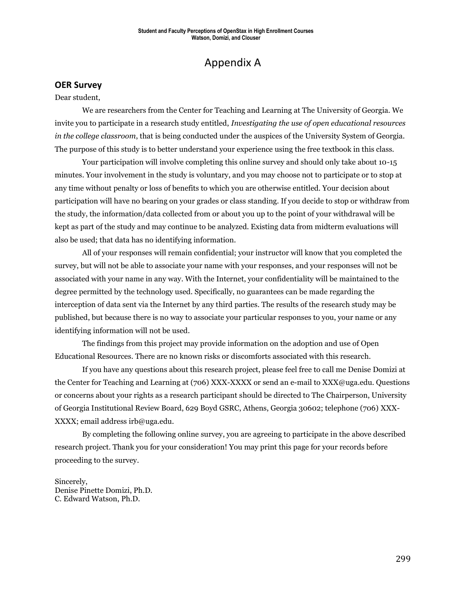# Appendix A

#### **OER Survey**

#### Dear student,

We are researchers from the Center for Teaching and Learning at The University of Georgia. We invite you to participate in a research study entitled, *Investigating the use of open educational resources in the college classroom*, that is being conducted under the auspices of the University System of Georgia. The purpose of this study is to better understand your experience using the free textbook in this class.

Your participation will involve completing this online survey and should only take about 10-15 minutes. Your involvement in the study is voluntary, and you may choose not to participate or to stop at any time without penalty or loss of benefits to which you are otherwise entitled. Your decision about participation will have no bearing on your grades or class standing. If you decide to stop or withdraw from the study, the information/data collected from or about you up to the point of your withdrawal will be kept as part of the study and may continue to be analyzed. Existing data from midterm evaluations will also be used; that data has no identifying information.

All of your responses will remain confidential; your instructor will know that you completed the survey, but will not be able to associate your name with your responses, and your responses will not be associated with your name in any way. With the Internet, your confidentiality will be maintained to the degree permitted by the technology used. Specifically, no guarantees can be made regarding the interception of data sent via the Internet by any third parties. The results of the research study may be published, but because there is no way to associate your particular responses to you, your name or any identifying information will not be used.

The findings from this project may provide information on the adoption and use of Open Educational Resources. There are no known risks or discomforts associated with this research.

If you have any questions about this research project, please feel free to call me Denise Domizi at the Center for Teaching and Learning at (706) XXX-XXXX or send an e-mail to XXX@uga.edu. Questions or concerns about your rights as a research participant should be directed to The Chairperson, University of Georgia Institutional Review Board, 629 Boyd GSRC, Athens, Georgia 30602; telephone (706) XXX-XXXX; email address irb@uga.edu.

By completing the following online survey, you are agreeing to participate in the above described research project. Thank you for your consideration! You may print this page for your records before proceeding to the survey.

Sincerely, Denise Pinette Domizi, Ph.D. C. Edward Watson, Ph.D.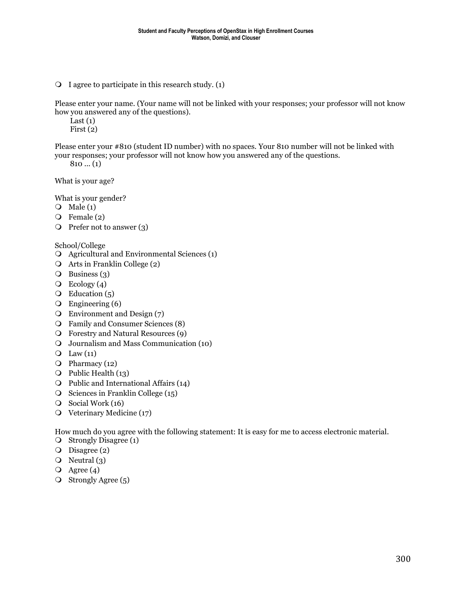$\overline{Q}$  I agree to participate in this research study. (1)

Please enter your name. (Your name will not be linked with your responses; your professor will not know how you answered any of the questions).

Last  $(1)$ 

First (2)

Please enter your #810 (student ID number) with no spaces. Your 810 number will not be linked with your responses; your professor will not know how you answered any of the questions.

 $810... (1)$ 

What is your age?

What is your gender?

- $\overline{Q}$  Male (1)
- $Q$  Female (2)
- $\overline{Q}$  Prefer not to answer (3)

School/College

- Agricultural and Environmental Sciences (1)
- Arts in Franklin College (2)
- $\overline{Q}$  Business (3)
- $\overline{O}$  Ecology (4)
- $\overline{O}$  Education (5)
- Engineering (6)
- Environment and Design (7)
- Family and Consumer Sciences (8)
- Forestry and Natural Resources (9)
- Journalism and Mass Communication (10)
- $\overline{Q}$  Law  $(11)$
- $\overline{O}$  Pharmacy (12)
- Public Health (13)
- Public and International Affairs (14)
- $\overline{O}$  Sciences in Franklin College (15)
- $\circ$  Social Work (16)
- Veterinary Medicine (17)

How much do you agree with the following statement: It is easy for me to access electronic material.

- O Strongly Disagree (1)
- $O$  Disagree (2)
- $\overline{O}$  Neutral (3)
- $\overline{Q}$  Agree (4)
- O Strongly Agree (5)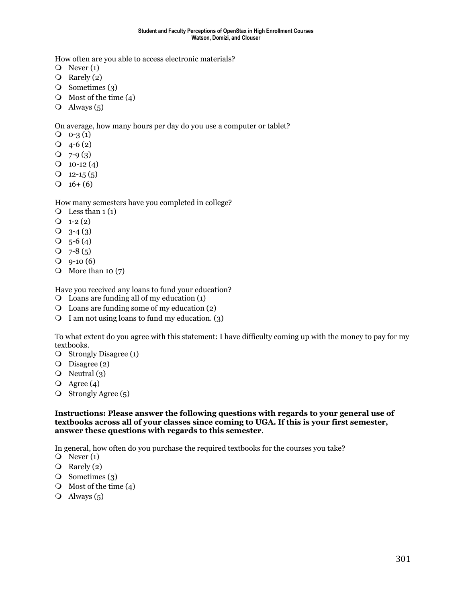How often are you able to access electronic materials?

- $Q$  Never  $(1)$
- $\overline{Q}$  Rarely (2)
- $\overline{O}$  Sometimes (3)
- $\bigcirc$  Most of the time (4)
- $\overline{Q}$  Always (5)

On average, how many hours per day do you use a computer or tablet?

- $Q_0 3(1)$
- $Q$  4-6 (2)
- $Q$  7-9 $(3)$
- $Q_{10-12} (4)$
- $Q$  12-15 (5)
- $Q_16+(6)$

How many semesters have you completed in college?

- $\overline{Q}$  Less than 1 (1)
- $Q_1-2(2)$
- $Q_{3-4}(3)$
- $\overline{O}$  5-6 (4)
- $Q$  7-8 (5)
- $Q$  9-10 (6)
- $\overline{O}$  More than 10 (7)

Have you received any loans to fund your education?

- Loans are funding all of my education (1)
- Loans are funding some of my education (2)
- $\bigcirc$  I am not using loans to fund my education. (3)

To what extent do you agree with this statement: I have difficulty coming up with the money to pay for my textbooks.

- Strongly Disagree (1)
- O Disagree (2)
- $\overline{Q}$  Neutral (3)
- $\overline{Q}$  Agree (4)
- $\circ$  Strongly Agree (5)

**Instructions: Please answer the following questions with regards to your general use of textbooks across all of your classes since coming to UGA. If this is your first semester, answer these questions with regards to this semester**.

In general, how often do you purchase the required textbooks for the courses you take?

- $\overline{O}$  Never (1)
- $\overline{Q}$  Rarely (2)
- O Sometimes (3)
- $\bigcirc$  Most of the time (4)
- $\overline{O}$  Always (5)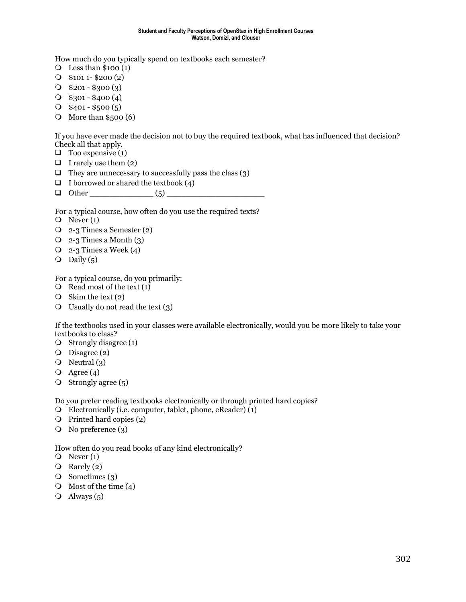#### **Student and Faculty Perceptions of OpenStax in High Enrollment Courses Watson, Domizi, and Clouser**

How much do you typically spend on textbooks each semester?

- $\overline{Q}$  Less than \$100 (1)
- $Q$  \$101 1- \$200 (2)
- $Q$  \$201 \$300 (3)
- $Q$  \$301 \$400 (4)
- $Q$  \$401 \$500 (5)
- $\odot$  More than \$500 (6)

If you have ever made the decision not to buy the required textbook, what has influenced that decision? Check all that apply.

- $\Box$  Too expensive (1)
- $\Box$  I rarely use them (2)
- $\Box$  They are unnecessary to successfully pass the class (3)
- $\Box$  I borrowed or shared the textbook (4)
- $\Box$  Other (5)

For a typical course, how often do you use the required texts?

- $\overline{O}$  Never (1)
- 2-3 Times a Semester (2)
- $\overline{Q}$  2-3 Times a Month (3)
- $\overline{Q}$  2-3 Times a Week (4)
- $\overline{O}$  Daily (5)

For a typical course, do you primarily:

- $\bigcirc$  Read most of the text (1)
- $\circ$  Skim the text (2)
- $\bigcirc$  Usually do not read the text (3)

If the textbooks used in your classes were available electronically, would you be more likely to take your textbooks to class?

- Strongly disagree (1)
- O Disagree (2)
- $\overline{O}$  Neutral (3)
- $\overline{Q}$  Agree (4)
- $\circ$  Strongly agree (5)

Do you prefer reading textbooks electronically or through printed hard copies?

- Electronically (i.e. computer, tablet, phone, eReader) (1)
- Printed hard copies (2)
- No preference (3)

How often do you read books of any kind electronically?

- $\overline{Q}$  Never (1)
- $\overline{Q}$  Rarely (2)
- O Sometimes (3)
- $\bigcirc$  Most of the time (4)
- $\overline{O}$  Always (5)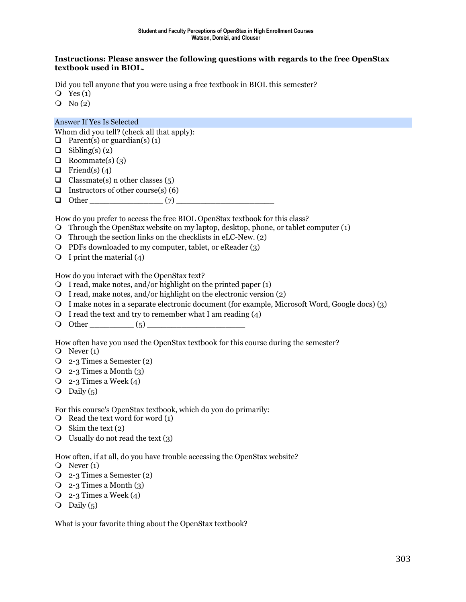#### **Instructions: Please answer the following questions with regards to the free OpenStax textbook used in BIOL.**

Did you tell anyone that you were using a free textbook in BIOL this semester?

- $Q$  Yes  $(1)$
- $\overline{O}$  No  $(2)$

#### Answer If Yes Is Selected

Whom did you tell? (check all that apply):

- $\Box$  Parent(s) or guardian(s) (1)
- $\Box$  Sibling(s) (2)
- $\Box$  Roommate(s) (3)
- $\Box$  Friend(s) (4)
- $\Box$  Classmate(s) n other classes (5)
- **Instructors of other course(s) (6)**
- $\Box$  Other  $(7)$

How do you prefer to access the free BIOL OpenStax textbook for this class?

- Through the OpenStax website on my laptop, desktop, phone, or tablet computer (1)
- $\overline{O}$  Through the section links on the checklists in eLC-New. (2)
- PDFs downloaded to my computer, tablet, or eReader (3)
- $\bigcirc$  I print the material (4)

How do you interact with the OpenStax text?

- $\bigcirc$  I read, make notes, and/or highlight on the printed paper (1)
- $\overline{Q}$  I read, make notes, and/or highlight on the electronic version (2)
- I make notes in a separate electronic document (for example, Microsoft Word, Google docs) (3)
- $\bigcirc$  I read the text and try to remember what I am reading (4)
- Other \_\_\_\_\_\_\_\_\_ (5) \_\_\_\_\_\_\_\_\_\_\_\_\_\_\_\_\_\_\_\_

How often have you used the OpenStax textbook for this course during the semester?

- $\overline{O}$  Never (1)
- 2-3 Times a Semester (2)
- $\overline{Q}$  2-3 Times a Month (3)
- $\overline{Q}$  2-3 Times a Week (4)
- $\overline{Q}$  Daily (5)

For this course's OpenStax textbook, which do you do primarily:

- $\overline{Q}$  Read the text word for word (1)
- $\circ$  Skim the text (2)
- $\bigcirc$  Usually do not read the text (3)

How often, if at all, do you have trouble accessing the OpenStax website?

- $\overline{Q}$  Never (1)
- 2-3 Times a Semester (2)
- $\overline{Q}$  2-3 Times a Month (3)
- $Q_2$ -3 Times a Week (4)
- $\overline{O}$  Daily (5)

What is your favorite thing about the OpenStax textbook?